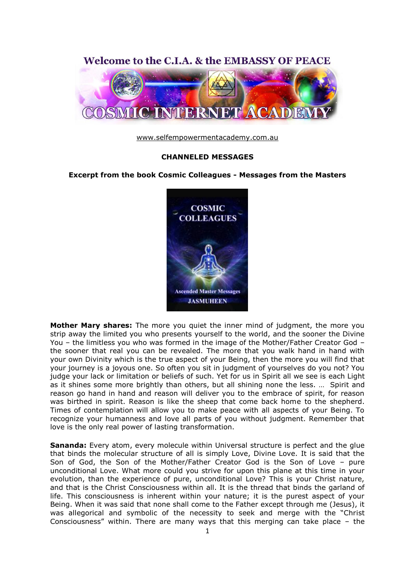

[www.selfempowermentacademy.com.au](http://www.selfempowermentacademy.com.au/)

## **CHANNELED MESSAGES**

## **Excerpt from the book Cosmic Colleagues - Messages from the Masters**



**Mother Mary shares:** The more you quiet the inner mind of judgment, the more you strip away the limited you who presents yourself to the world, and the sooner the Divine You – the limitless you who was formed in the image of the Mother/Father Creator God – the sooner that real you can be revealed. The more that you walk hand in hand with your own Divinity which is the true aspect of your Being, then the more you will find that your journey is a joyous one. So often you sit in judgment of yourselves do you not? You judge your lack or limitation or beliefs of such. Yet for us in Spirit all we see is each Light as it shines some more brightly than others, but all shining none the less. … Spirit and reason go hand in hand and reason will deliver you to the embrace of spirit, for reason was birthed in spirit. Reason is like the sheep that come back home to the shepherd. Times of contemplation will allow you to make peace with all aspects of your Being. To recognize your humanness and love all parts of you without judgment. Remember that love is the only real power of lasting transformation.

**Sananda:** Every atom, every molecule within Universal structure is perfect and the glue that binds the molecular structure of all is simply Love, Divine Love. It is said that the Son of God, the Son of the Mother/Father Creator God is the Son of Love – pure unconditional Love. What more could you strive for upon this plane at this time in your evolution, than the experience of pure, unconditional Love? This is your Christ nature, and that is the Christ Consciousness within all. It is the thread that binds the garland of life. This consciousness is inherent within your nature; it is the purest aspect of your Being. When it was said that none shall come to the Father except through me (Jesus), it was allegorical and symbolic of the necessity to seek and merge with the "Christ Consciousness" within. There are many ways that this merging can take place – the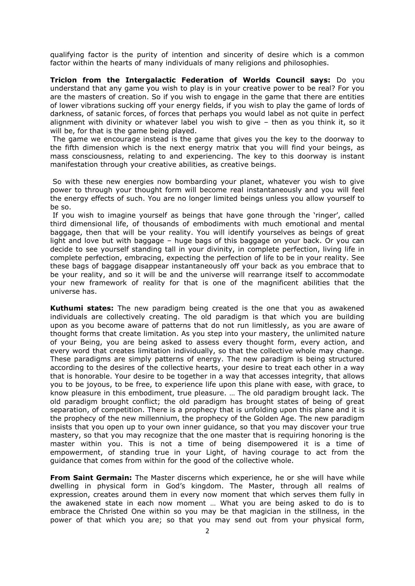qualifying factor is the purity of intention and sincerity of desire which is a common factor within the hearts of many individuals of many religions and philosophies.

**Triclon from the Intergalactic Federation of Worlds Council says:** Do you understand that any game you wish to play is in your creative power to be real? For you are the masters of creation. So if you wish to engage in the game that there are entities of lower vibrations sucking off your energy fields, if you wish to play the game of lords of darkness, of satanic forces, of forces that perhaps you would label as not quite in perfect alignment with divinity or whatever label you wish to give – then as you think it, so it will be, for that is the game being played.

The game we encourage instead is the game that gives you the key to the doorway to the fifth dimension which is the next energy matrix that you will find your beings, as mass consciousness, relating to and experiencing. The key to this doorway is instant manifestation through your creative abilities, as creative beings.

So with these new energies now bombarding your planet, whatever you wish to give power to through your thought form will become real instantaneously and you will feel the energy effects of such. You are no longer limited beings unless you allow yourself to be so.

If you wish to imagine yourself as beings that have gone through the "ringer", called third dimensional life, of thousands of embodiments with much emotional and mental baggage, then that will be your reality. You will identify yourselves as beings of great light and love but with baggage – huge bags of this baggage on your back. Or you can decide to see yourself standing tall in your divinity, in complete perfection, living life in complete perfection, embracing, expecting the perfection of life to be in your reality. See these bags of baggage disappear instantaneously off your back as you embrace that to be your reality, and so it will be and the universe will rearrange itself to accommodate your new framework of reality for that is one of the magnificent abilities that the universe has.

**Kuthumi states:** The new paradigm being created is the one that you as awakened individuals are collectively creating. The old paradigm is that which you are building upon as you become aware of patterns that do not run limitlessly, as you are aware of thought forms that create limitation. As you step into your mastery, the unlimited nature of your Being, you are being asked to assess every thought form, every action, and every word that creates limitation individually, so that the collective whole may change. These paradigms are simply patterns of energy. The new paradigm is being structured according to the desires of the collective hearts, your desire to treat each other in a way that is honorable. Your desire to be together in a way that accesses integrity, that allows you to be joyous, to be free, to experience life upon this plane with ease, with grace, to know pleasure in this embodiment, true pleasure. … The old paradigm brought lack. The old paradigm brought conflict; the old paradigm has brought states of being of great separation, of competition. There is a prophecy that is unfolding upon this plane and it is the prophecy of the new millennium, the prophecy of the Golden Age. The new paradigm insists that you open up to your own inner guidance, so that you may discover your true mastery, so that you may recognize that the one master that is requiring honoring is the master within you. This is not a time of being disempowered it is a time of empowerment, of standing true in your Light, of having courage to act from the guidance that comes from within for the good of the collective whole.

**From Saint Germain:** The Master discerns which experience, he or she will have while dwelling in physical form in God"s kingdom. The Master, through all realms of expression, creates around them in every now moment that which serves them fully in the awakened state in each now moment … What you are being asked to do is to embrace the Christed One within so you may be that magician in the stillness, in the power of that which you are; so that you may send out from your physical form,